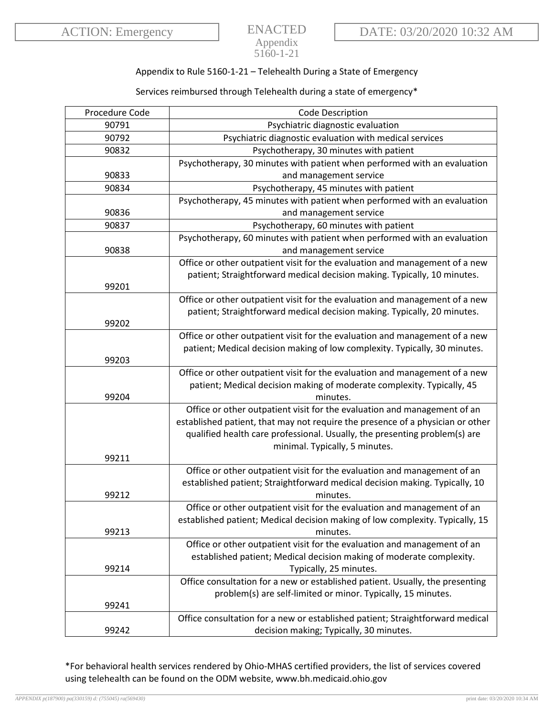## ENACTED Appendix 5160-1-21

## Appendix to Rule 5160-1-21 – Telehealth During a State of Emergency

## Services reimbursed through Telehealth during a state of emergency\*

| Procedure Code | <b>Code Description</b>                                                        |
|----------------|--------------------------------------------------------------------------------|
| 90791          | Psychiatric diagnostic evaluation                                              |
| 90792          | Psychiatric diagnostic evaluation with medical services                        |
| 90832          | Psychotherapy, 30 minutes with patient                                         |
|                | Psychotherapy, 30 minutes with patient when performed with an evaluation       |
| 90833          | and management service                                                         |
| 90834          | Psychotherapy, 45 minutes with patient                                         |
|                | Psychotherapy, 45 minutes with patient when performed with an evaluation       |
| 90836          | and management service                                                         |
| 90837          | Psychotherapy, 60 minutes with patient                                         |
|                | Psychotherapy, 60 minutes with patient when performed with an evaluation       |
| 90838          | and management service                                                         |
|                | Office or other outpatient visit for the evaluation and management of a new    |
|                | patient; Straightforward medical decision making. Typically, 10 minutes.       |
| 99201          |                                                                                |
|                | Office or other outpatient visit for the evaluation and management of a new    |
|                | patient; Straightforward medical decision making. Typically, 20 minutes.       |
| 99202          |                                                                                |
|                | Office or other outpatient visit for the evaluation and management of a new    |
|                | patient; Medical decision making of low complexity. Typically, 30 minutes.     |
| 99203          |                                                                                |
|                | Office or other outpatient visit for the evaluation and management of a new    |
|                | patient; Medical decision making of moderate complexity. Typically, 45         |
| 99204          | minutes.                                                                       |
|                | Office or other outpatient visit for the evaluation and management of an       |
|                | established patient, that may not require the presence of a physician or other |
|                | qualified health care professional. Usually, the presenting problem(s) are     |
|                | minimal. Typically, 5 minutes.                                                 |
| 99211          |                                                                                |
|                | Office or other outpatient visit for the evaluation and management of an       |
|                | established patient; Straightforward medical decision making. Typically, 10    |
| 99212          | minutes.                                                                       |
|                | Office or other outpatient visit for the evaluation and management of an       |
|                | established patient; Medical decision making of low complexity. Typically, 15  |
| 99213          | minutes.                                                                       |
|                | Office or other outpatient visit for the evaluation and management of an       |
|                | established patient; Medical decision making of moderate complexity.           |
| 99214          | Typically, 25 minutes.                                                         |
|                | Office consultation for a new or established patient. Usually, the presenting  |
|                | problem(s) are self-limited or minor. Typically, 15 minutes.                   |
| 99241          |                                                                                |
|                | Office consultation for a new or established patient; Straightforward medical  |
| 99242          | decision making; Typically, 30 minutes.                                        |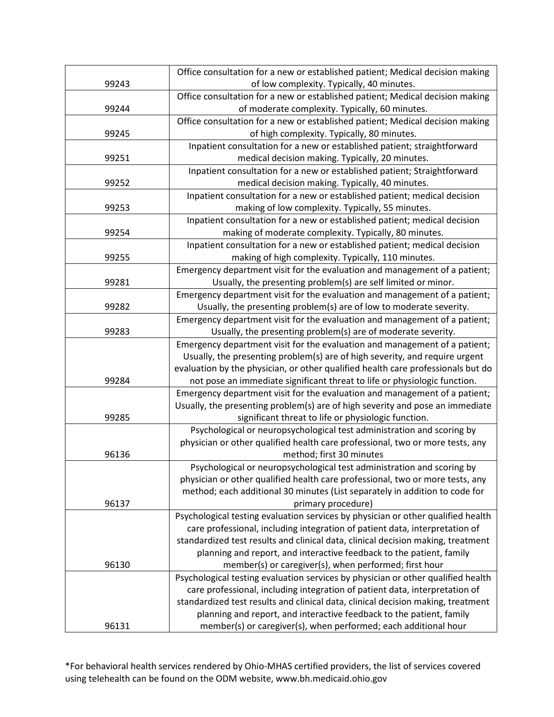|       | Office consultation for a new or established patient; Medical decision making                                                                            |
|-------|----------------------------------------------------------------------------------------------------------------------------------------------------------|
| 99243 | of low complexity. Typically, 40 minutes.                                                                                                                |
|       | Office consultation for a new or established patient; Medical decision making                                                                            |
| 99244 | of moderate complexity. Typically, 60 minutes.                                                                                                           |
|       | Office consultation for a new or established patient; Medical decision making                                                                            |
| 99245 | of high complexity. Typically, 80 minutes.                                                                                                               |
|       | Inpatient consultation for a new or established patient; straightforward                                                                                 |
| 99251 | medical decision making. Typically, 20 minutes.                                                                                                          |
|       | Inpatient consultation for a new or established patient; Straightforward                                                                                 |
| 99252 | medical decision making. Typically, 40 minutes.                                                                                                          |
|       | Inpatient consultation for a new or established patient; medical decision                                                                                |
| 99253 | making of low complexity. Typically, 55 minutes.                                                                                                         |
|       | Inpatient consultation for a new or established patient; medical decision                                                                                |
| 99254 | making of moderate complexity. Typically, 80 minutes.                                                                                                    |
|       | Inpatient consultation for a new or established patient; medical decision                                                                                |
| 99255 | making of high complexity. Typically, 110 minutes.                                                                                                       |
|       | Emergency department visit for the evaluation and management of a patient;                                                                               |
| 99281 | Usually, the presenting problem(s) are self limited or minor.                                                                                            |
|       | Emergency department visit for the evaluation and management of a patient;                                                                               |
| 99282 | Usually, the presenting problem(s) are of low to moderate severity.                                                                                      |
|       | Emergency department visit for the evaluation and management of a patient;                                                                               |
| 99283 | Usually, the presenting problem(s) are of moderate severity.                                                                                             |
|       | Emergency department visit for the evaluation and management of a patient;                                                                               |
|       | Usually, the presenting problem(s) are of high severity, and require urgent                                                                              |
|       | evaluation by the physician, or other qualified health care professionals but do                                                                         |
| 99284 | not pose an immediate significant threat to life or physiologic function.                                                                                |
|       | Emergency department visit for the evaluation and management of a patient;                                                                               |
|       | Usually, the presenting problem(s) are of high severity and pose an immediate                                                                            |
| 99285 | significant threat to life or physiologic function.                                                                                                      |
|       | Psychological or neuropsychological test administration and scoring by                                                                                   |
|       | physician or other qualified health care professional, two or more tests, any                                                                            |
| 96136 | method; first 30 minutes                                                                                                                                 |
|       | Psychological or neuropsychological test administration and scoring by                                                                                   |
|       | physician or other qualified health care professional, two or more tests, any                                                                            |
|       | method; each additional 30 minutes (List separately in addition to code for                                                                              |
| 96137 | primary procedure)                                                                                                                                       |
|       | Psychological testing evaluation services by physician or other qualified health                                                                         |
|       | care professional, including integration of patient data, interpretation of                                                                              |
|       | standardized test results and clinical data, clinical decision making, treatment<br>planning and report, and interactive feedback to the patient, family |
| 96130 | member(s) or caregiver(s), when performed; first hour                                                                                                    |
|       | Psychological testing evaluation services by physician or other qualified health                                                                         |
|       | care professional, including integration of patient data, interpretation of                                                                              |
|       | standardized test results and clinical data, clinical decision making, treatment                                                                         |
|       | planning and report, and interactive feedback to the patient, family                                                                                     |
| 96131 | member(s) or caregiver(s), when performed; each additional hour                                                                                          |
|       |                                                                                                                                                          |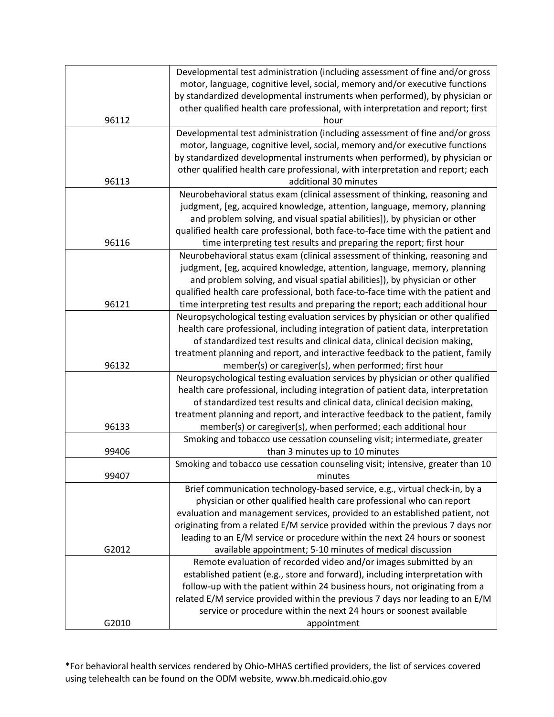|       | Developmental test administration (including assessment of fine and/or gross    |
|-------|---------------------------------------------------------------------------------|
|       | motor, language, cognitive level, social, memory and/or executive functions     |
|       | by standardized developmental instruments when performed), by physician or      |
|       | other qualified health care professional, with interpretation and report; first |
| 96112 | hour                                                                            |
|       | Developmental test administration (including assessment of fine and/or gross    |
|       | motor, language, cognitive level, social, memory and/or executive functions     |
|       | by standardized developmental instruments when performed), by physician or      |
|       | other qualified health care professional, with interpretation and report; each  |
| 96113 | additional 30 minutes                                                           |
|       | Neurobehavioral status exam (clinical assessment of thinking, reasoning and     |
|       | judgment, [eg, acquired knowledge, attention, language, memory, planning        |
|       | and problem solving, and visual spatial abilities]), by physician or other      |
|       | qualified health care professional, both face-to-face time with the patient and |
| 96116 | time interpreting test results and preparing the report; first hour             |
|       | Neurobehavioral status exam (clinical assessment of thinking, reasoning and     |
|       | judgment, [eg, acquired knowledge, attention, language, memory, planning        |
|       | and problem solving, and visual spatial abilities]), by physician or other      |
|       | qualified health care professional, both face-to-face time with the patient and |
| 96121 | time interpreting test results and preparing the report; each additional hour   |
|       | Neuropsychological testing evaluation services by physician or other qualified  |
|       | health care professional, including integration of patient data, interpretation |
|       | of standardized test results and clinical data, clinical decision making,       |
|       | treatment planning and report, and interactive feedback to the patient, family  |
| 96132 | member(s) or caregiver(s), when performed; first hour                           |
|       | Neuropsychological testing evaluation services by physician or other qualified  |
|       | health care professional, including integration of patient data, interpretation |
|       | of standardized test results and clinical data, clinical decision making,       |
|       | treatment planning and report, and interactive feedback to the patient, family  |
| 96133 | member(s) or caregiver(s), when performed; each additional hour                 |
|       | Smoking and tobacco use cessation counseling visit; intermediate, greater       |
| 99406 | than 3 minutes up to 10 minutes                                                 |
|       | Smoking and tobacco use cessation counseling visit; intensive, greater than 10  |
| 99407 | minutes                                                                         |
|       | Brief communication technology-based service, e.g., virtual check-in, by a      |
|       | physician or other qualified health care professional who can report            |
|       | evaluation and management services, provided to an established patient, not     |
|       | originating from a related E/M service provided within the previous 7 days nor  |
|       | leading to an E/M service or procedure within the next 24 hours or soonest      |
| G2012 | available appointment; 5-10 minutes of medical discussion                       |
|       | Remote evaluation of recorded video and/or images submitted by an               |
|       | established patient (e.g., store and forward), including interpretation with    |
|       | follow-up with the patient within 24 business hours, not originating from a     |
|       | related E/M service provided within the previous 7 days nor leading to an E/M   |
|       | service or procedure within the next 24 hours or soonest available              |
| G2010 | appointment                                                                     |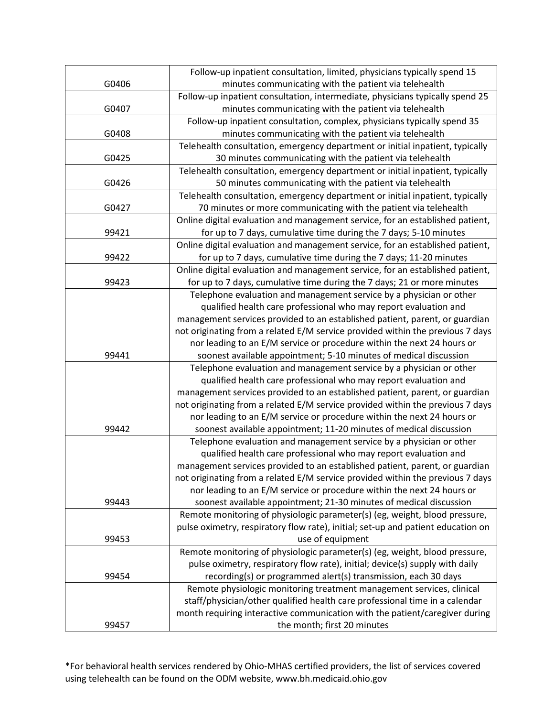|       | Follow-up inpatient consultation, limited, physicians typically spend 15                                                                             |
|-------|------------------------------------------------------------------------------------------------------------------------------------------------------|
| G0406 | minutes communicating with the patient via telehealth                                                                                                |
|       | Follow-up inpatient consultation, intermediate, physicians typically spend 25                                                                        |
| G0407 | minutes communicating with the patient via telehealth                                                                                                |
|       | Follow-up inpatient consultation, complex, physicians typically spend 35                                                                             |
| G0408 | minutes communicating with the patient via telehealth                                                                                                |
|       | Telehealth consultation, emergency department or initial inpatient, typically                                                                        |
| G0425 | 30 minutes communicating with the patient via telehealth                                                                                             |
|       | Telehealth consultation, emergency department or initial inpatient, typically                                                                        |
| G0426 | 50 minutes communicating with the patient via telehealth                                                                                             |
|       | Telehealth consultation, emergency department or initial inpatient, typically                                                                        |
| G0427 | 70 minutes or more communicating with the patient via telehealth                                                                                     |
|       | Online digital evaluation and management service, for an established patient,                                                                        |
| 99421 | for up to 7 days, cumulative time during the 7 days; 5-10 minutes                                                                                    |
|       | Online digital evaluation and management service, for an established patient,                                                                        |
| 99422 | for up to 7 days, cumulative time during the 7 days; 11-20 minutes                                                                                   |
|       | Online digital evaluation and management service, for an established patient,                                                                        |
| 99423 | for up to 7 days, cumulative time during the 7 days; 21 or more minutes                                                                              |
|       | Telephone evaluation and management service by a physician or other                                                                                  |
|       | qualified health care professional who may report evaluation and                                                                                     |
|       | management services provided to an established patient, parent, or guardian                                                                          |
|       | not originating from a related E/M service provided within the previous 7 days                                                                       |
|       | nor leading to an E/M service or procedure within the next 24 hours or                                                                               |
| 99441 | soonest available appointment; 5-10 minutes of medical discussion                                                                                    |
|       | Telephone evaluation and management service by a physician or other                                                                                  |
|       | qualified health care professional who may report evaluation and                                                                                     |
|       | management services provided to an established patient, parent, or guardian                                                                          |
|       | not originating from a related E/M service provided within the previous 7 days                                                                       |
|       | nor leading to an E/M service or procedure within the next 24 hours or                                                                               |
| 99442 | soonest available appointment; 11-20 minutes of medical discussion                                                                                   |
|       | Telephone evaluation and management service by a physician or other                                                                                  |
|       | qualified health care professional who may report evaluation and                                                                                     |
|       | management services provided to an established patient, parent, or guardian                                                                          |
|       | not originating from a related E/M service provided within the previous 7 days                                                                       |
|       | nor leading to an E/M service or procedure within the next 24 hours or                                                                               |
| 99443 | soonest available appointment; 21-30 minutes of medical discussion                                                                                   |
|       | Remote monitoring of physiologic parameter(s) (eg, weight, blood pressure,                                                                           |
|       | pulse oximetry, respiratory flow rate), initial; set-up and patient education on                                                                     |
| 99453 | use of equipment                                                                                                                                     |
|       | Remote monitoring of physiologic parameter(s) (eg, weight, blood pressure,                                                                           |
|       | pulse oximetry, respiratory flow rate), initial; device(s) supply with daily                                                                         |
| 99454 | recording(s) or programmed alert(s) transmission, each 30 days                                                                                       |
|       | Remote physiologic monitoring treatment management services, clinical<br>staff/physician/other qualified health care professional time in a calendar |
|       | month requiring interactive communication with the patient/caregiver during                                                                          |
|       |                                                                                                                                                      |
| 99457 | the month; first 20 minutes                                                                                                                          |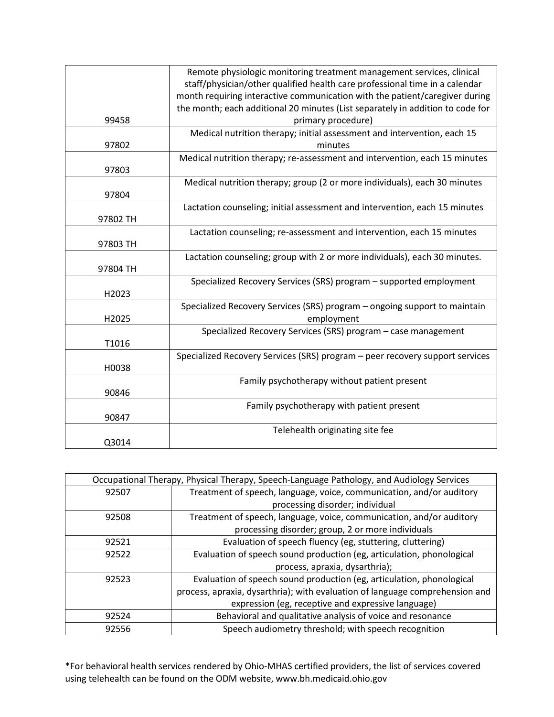|          | Remote physiologic monitoring treatment management services, clinical          |
|----------|--------------------------------------------------------------------------------|
|          | staff/physician/other qualified health care professional time in a calendar    |
|          | month requiring interactive communication with the patient/caregiver during    |
|          | the month; each additional 20 minutes (List separately in addition to code for |
| 99458    | primary procedure)                                                             |
|          | Medical nutrition therapy; initial assessment and intervention, each 15        |
| 97802    | minutes                                                                        |
|          | Medical nutrition therapy; re-assessment and intervention, each 15 minutes     |
| 97803    |                                                                                |
|          | Medical nutrition therapy; group (2 or more individuals), each 30 minutes      |
| 97804    |                                                                                |
|          | Lactation counseling; initial assessment and intervention, each 15 minutes     |
| 97802 TH |                                                                                |
|          | Lactation counseling; re-assessment and intervention, each 15 minutes          |
| 97803 TH |                                                                                |
|          | Lactation counseling; group with 2 or more individuals), each 30 minutes.      |
| 97804 TH |                                                                                |
|          | Specialized Recovery Services (SRS) program – supported employment             |
| H2023    |                                                                                |
|          | Specialized Recovery Services (SRS) program - ongoing support to maintain      |
| H2025    | employment                                                                     |
|          | Specialized Recovery Services (SRS) program - case management                  |
| T1016    |                                                                                |
|          | Specialized Recovery Services (SRS) program - peer recovery support services   |
| H0038    |                                                                                |
|          | Family psychotherapy without patient present                                   |
| 90846    |                                                                                |
|          | Family psychotherapy with patient present                                      |
| 90847    |                                                                                |
|          | Telehealth originating site fee                                                |
| Q3014    |                                                                                |

| Occupational Therapy, Physical Therapy, Speech-Language Pathology, and Audiology Services |                                                                              |
|-------------------------------------------------------------------------------------------|------------------------------------------------------------------------------|
| 92507                                                                                     | Treatment of speech, language, voice, communication, and/or auditory         |
|                                                                                           | processing disorder; individual                                              |
| 92508                                                                                     | Treatment of speech, language, voice, communication, and/or auditory         |
|                                                                                           | processing disorder; group, 2 or more individuals                            |
| 92521                                                                                     | Evaluation of speech fluency (eg, stuttering, cluttering)                    |
| 92522                                                                                     | Evaluation of speech sound production (eg, articulation, phonological        |
|                                                                                           | process, apraxia, dysarthria);                                               |
| 92523                                                                                     | Evaluation of speech sound production (eg, articulation, phonological        |
|                                                                                           | process, apraxia, dysarthria); with evaluation of language comprehension and |
|                                                                                           | expression (eg, receptive and expressive language)                           |
| 92524                                                                                     | Behavioral and qualitative analysis of voice and resonance                   |
| 92556                                                                                     | Speech audiometry threshold; with speech recognition                         |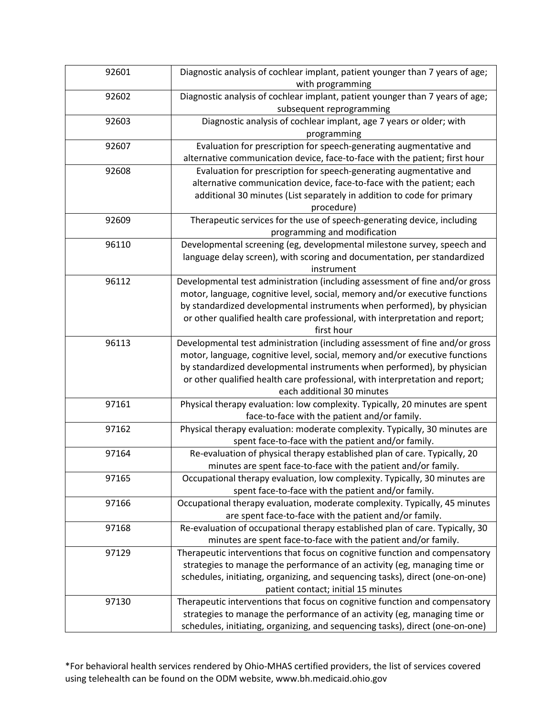| 92601 | Diagnostic analysis of cochlear implant, patient younger than 7 years of age; |
|-------|-------------------------------------------------------------------------------|
|       | with programming                                                              |
| 92602 | Diagnostic analysis of cochlear implant, patient younger than 7 years of age; |
|       | subsequent reprogramming                                                      |
| 92603 | Diagnostic analysis of cochlear implant, age 7 years or older; with           |
|       | programming                                                                   |
| 92607 | Evaluation for prescription for speech-generating augmentative and            |
|       | alternative communication device, face-to-face with the patient; first hour   |
| 92608 | Evaluation for prescription for speech-generating augmentative and            |
|       | alternative communication device, face-to-face with the patient; each         |
|       | additional 30 minutes (List separately in addition to code for primary        |
|       | procedure)                                                                    |
| 92609 | Therapeutic services for the use of speech-generating device, including       |
|       | programming and modification                                                  |
| 96110 | Developmental screening (eg, developmental milestone survey, speech and       |
|       | language delay screen), with scoring and documentation, per standardized      |
|       | instrument                                                                    |
| 96112 | Developmental test administration (including assessment of fine and/or gross  |
|       | motor, language, cognitive level, social, memory and/or executive functions   |
|       | by standardized developmental instruments when performed), by physician       |
|       | or other qualified health care professional, with interpretation and report;  |
|       | first hour                                                                    |
| 96113 | Developmental test administration (including assessment of fine and/or gross  |
|       | motor, language, cognitive level, social, memory and/or executive functions   |
|       | by standardized developmental instruments when performed), by physician       |
|       | or other qualified health care professional, with interpretation and report;  |
|       | each additional 30 minutes                                                    |
| 97161 | Physical therapy evaluation: low complexity. Typically, 20 minutes are spent  |
|       | face-to-face with the patient and/or family.                                  |
| 97162 | Physical therapy evaluation: moderate complexity. Typically, 30 minutes are   |
|       | spent face-to-face with the patient and/or family.                            |
| 97164 | Re-evaluation of physical therapy established plan of care. Typically, 20     |
|       | minutes are spent face-to-face with the patient and/or family.                |
| 97165 | Occupational therapy evaluation, low complexity. Typically, 30 minutes are    |
|       | spent face-to-face with the patient and/or family.                            |
| 97166 | Occupational therapy evaluation, moderate complexity. Typically, 45 minutes   |
|       | are spent face-to-face with the patient and/or family.                        |
| 97168 | Re-evaluation of occupational therapy established plan of care. Typically, 30 |
|       | minutes are spent face-to-face with the patient and/or family.                |
| 97129 | Therapeutic interventions that focus on cognitive function and compensatory   |
|       | strategies to manage the performance of an activity (eg, managing time or     |
|       | schedules, initiating, organizing, and sequencing tasks), direct (one-on-one) |
|       | patient contact; initial 15 minutes                                           |
| 97130 | Therapeutic interventions that focus on cognitive function and compensatory   |
|       | strategies to manage the performance of an activity (eg, managing time or     |
|       | schedules, initiating, organizing, and sequencing tasks), direct (one-on-one) |